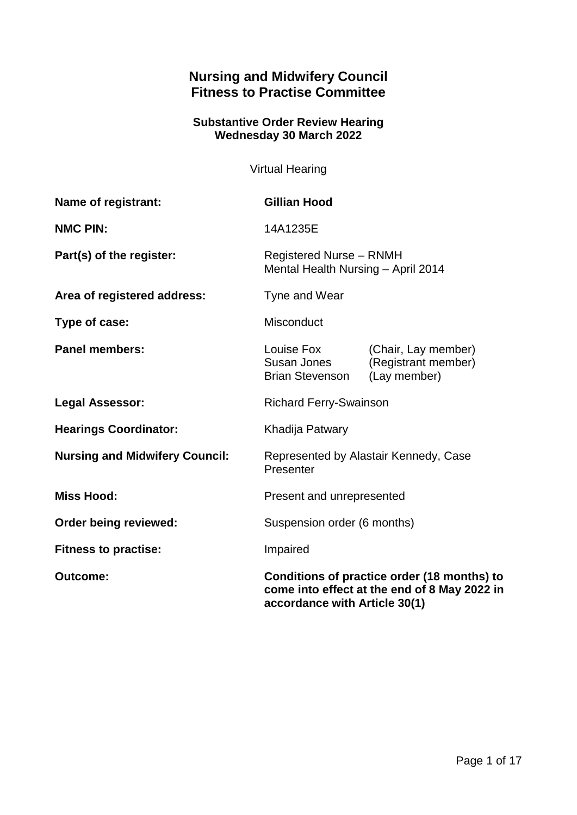# **Nursing and Midwifery Council Fitness to Practise Committee**

### **Substantive Order Review Hearing Wednesday 30 March 2022**

Virtual Hearing

| Name of registrant:                   | <b>Gillian Hood</b>                                                                                                          |                                                            |
|---------------------------------------|------------------------------------------------------------------------------------------------------------------------------|------------------------------------------------------------|
| <b>NMC PIN:</b>                       | 14A1235E                                                                                                                     |                                                            |
| Part(s) of the register:              | <b>Registered Nurse - RNMH</b><br>Mental Health Nursing - April 2014                                                         |                                                            |
| Area of registered address:           | Tyne and Wear                                                                                                                |                                                            |
| Type of case:                         | Misconduct                                                                                                                   |                                                            |
| <b>Panel members:</b>                 | Louise Fox<br>Susan Jones<br><b>Brian Stevenson</b>                                                                          | (Chair, Lay member)<br>(Registrant member)<br>(Lay member) |
| <b>Legal Assessor:</b>                | <b>Richard Ferry-Swainson</b>                                                                                                |                                                            |
| <b>Hearings Coordinator:</b>          | Khadija Patwary                                                                                                              |                                                            |
| <b>Nursing and Midwifery Council:</b> | Represented by Alastair Kennedy, Case<br>Presenter                                                                           |                                                            |
| <b>Miss Hood:</b>                     | Present and unrepresented                                                                                                    |                                                            |
| Order being reviewed:                 | Suspension order (6 months)                                                                                                  |                                                            |
| <b>Fitness to practise:</b>           | Impaired                                                                                                                     |                                                            |
| <b>Outcome:</b>                       | Conditions of practice order (18 months) to<br>come into effect at the end of 8 May 2022 in<br>accordance with Article 30(1) |                                                            |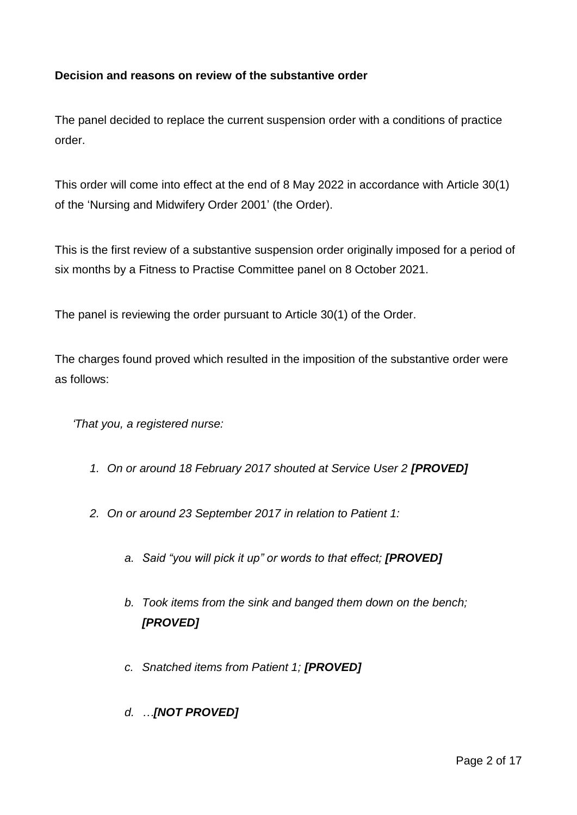## **Decision and reasons on review of the substantive order**

The panel decided to replace the current suspension order with a conditions of practice order.

This order will come into effect at the end of 8 May 2022 in accordance with Article 30(1) of the 'Nursing and Midwifery Order 2001' (the Order).

This is the first review of a substantive suspension order originally imposed for a period of six months by a Fitness to Practise Committee panel on 8 October 2021.

The panel is reviewing the order pursuant to Article 30(1) of the Order.

The charges found proved which resulted in the imposition of the substantive order were as follows:

*'That you, a registered nurse:*

- 1. On or around 18 February 2017 shouted at Service User 2 **[PROVED]**
- *2. On or around 23 September 2017 in relation to Patient 1:*
	- *a. Said "you will pick it up" or words to that effect; [PROVED]*
	- *b. Took items from the sink and banged them down on the bench; [PROVED]*
	- *c. Snatched items from Patient 1; [PROVED]*
	- *d. …[NOT PROVED]*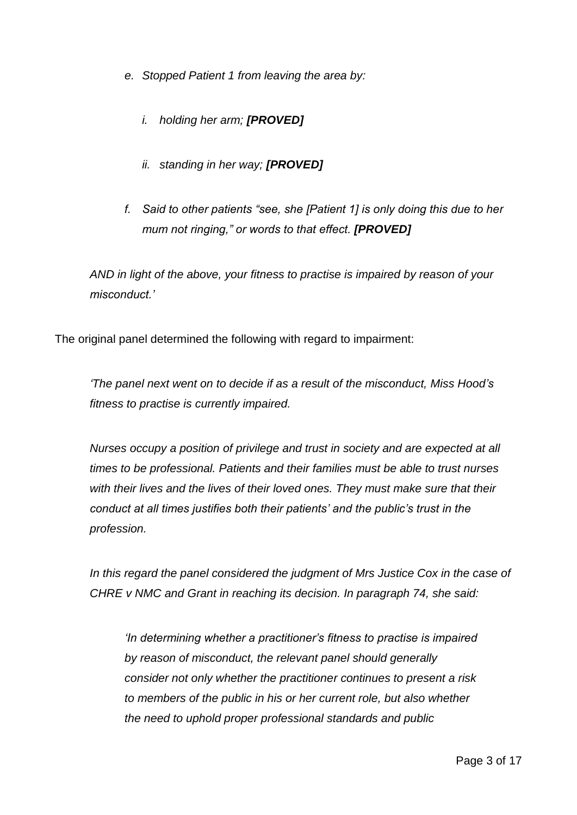- *e. Stopped Patient 1 from leaving the area by:* 
	- *i. holding her arm; [PROVED]*
	- *ii. standing in her way; [PROVED]*
- *f. Said to other patients "see, she [Patient 1] is only doing this due to her mum not ringing," or words to that effect. [PROVED]*

*AND in light of the above, your fitness to practise is impaired by reason of your misconduct.'*

The original panel determined the following with regard to impairment:

*'The panel next went on to decide if as a result of the misconduct, Miss Hood's fitness to practise is currently impaired.*

*Nurses occupy a position of privilege and trust in society and are expected at all times to be professional. Patients and their families must be able to trust nurses with their lives and the lives of their loved ones. They must make sure that their conduct at all times justifies both their patients' and the public's trust in the profession.*

*In this regard the panel considered the judgment of Mrs Justice Cox in the case of CHRE v NMC and Grant in reaching its decision. In paragraph 74, she said:*

*'In determining whether a practitioner's fitness to practise is impaired by reason of misconduct, the relevant panel should generally consider not only whether the practitioner continues to present a risk to members of the public in his or her current role, but also whether the need to uphold proper professional standards and public*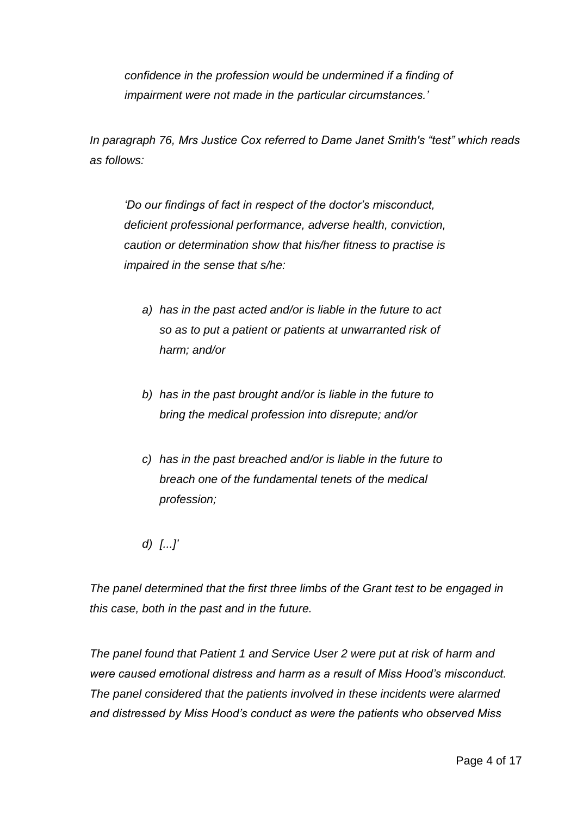*confidence in the profession would be undermined if a finding of impairment were not made in the particular circumstances.'*

*In paragraph 76, Mrs Justice Cox referred to Dame Janet Smith's "test" which reads as follows:*

*'Do our findings of fact in respect of the doctor's misconduct, deficient professional performance, adverse health, conviction, caution or determination show that his/her fitness to practise is impaired in the sense that s/he:*

- *a) has in the past acted and/or is liable in the future to act so as to put a patient or patients at unwarranted risk of harm; and/or*
- *b) has in the past brought and/or is liable in the future to bring the medical profession into disrepute; and/or*
- *c) has in the past breached and/or is liable in the future to breach one of the fundamental tenets of the medical profession;*
- *d) [...]'*

*The panel determined that the first three limbs of the Grant test to be engaged in this case, both in the past and in the future.* 

*The panel found that Patient 1 and Service User 2 were put at risk of harm and were caused emotional distress and harm as a result of Miss Hood's misconduct. The panel considered that the patients involved in these incidents were alarmed and distressed by Miss Hood's conduct as were the patients who observed Miss*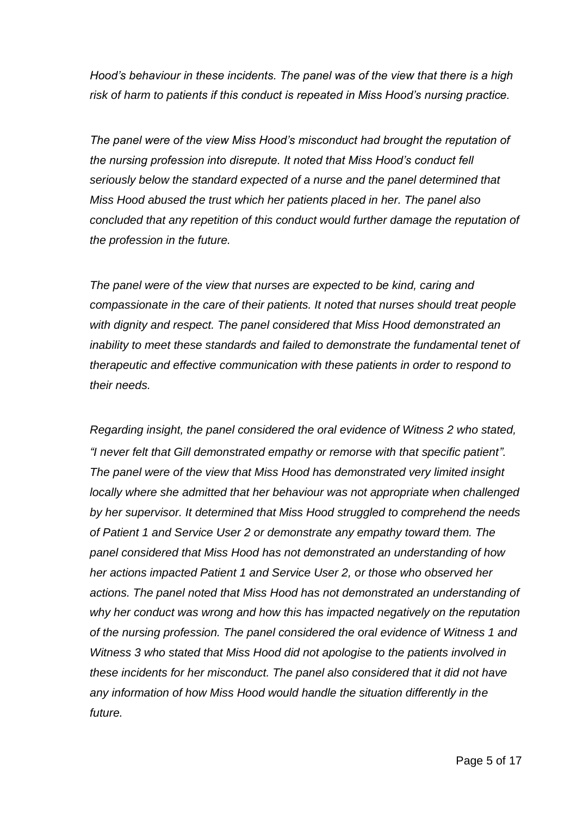*Hood's behaviour in these incidents. The panel was of the view that there is a high risk of harm to patients if this conduct is repeated in Miss Hood's nursing practice.*

*The panel were of the view Miss Hood's misconduct had brought the reputation of the nursing profession into disrepute. It noted that Miss Hood's conduct fell seriously below the standard expected of a nurse and the panel determined that Miss Hood abused the trust which her patients placed in her. The panel also concluded that any repetition of this conduct would further damage the reputation of the profession in the future.* 

*The panel were of the view that nurses are expected to be kind, caring and compassionate in the care of their patients. It noted that nurses should treat people with dignity and respect. The panel considered that Miss Hood demonstrated an inability to meet these standards and failed to demonstrate the fundamental tenet of therapeutic and effective communication with these patients in order to respond to their needs.* 

*Regarding insight, the panel considered the oral evidence of Witness 2 who stated, "I never felt that Gill demonstrated empathy or remorse with that specific patient". The panel were of the view that Miss Hood has demonstrated very limited insight locally where she admitted that her behaviour was not appropriate when challenged by her supervisor. It determined that Miss Hood struggled to comprehend the needs of Patient 1 and Service User 2 or demonstrate any empathy toward them. The panel considered that Miss Hood has not demonstrated an understanding of how her actions impacted Patient 1 and Service User 2, or those who observed her actions. The panel noted that Miss Hood has not demonstrated an understanding of why her conduct was wrong and how this has impacted negatively on the reputation of the nursing profession. The panel considered the oral evidence of Witness 1 and Witness 3 who stated that Miss Hood did not apologise to the patients involved in these incidents for her misconduct. The panel also considered that it did not have any information of how Miss Hood would handle the situation differently in the future.*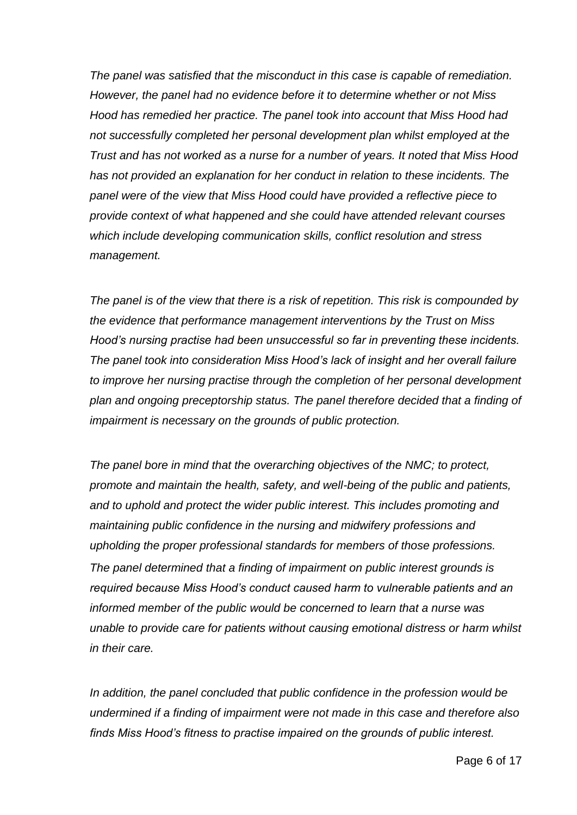*The panel was satisfied that the misconduct in this case is capable of remediation. However, the panel had no evidence before it to determine whether or not Miss Hood has remedied her practice. The panel took into account that Miss Hood had not successfully completed her personal development plan whilst employed at the Trust and has not worked as a nurse for a number of years. It noted that Miss Hood has not provided an explanation for her conduct in relation to these incidents. The panel were of the view that Miss Hood could have provided a reflective piece to provide context of what happened and she could have attended relevant courses which include developing communication skills, conflict resolution and stress management.* 

*The panel is of the view that there is a risk of repetition. This risk is compounded by the evidence that performance management interventions by the Trust on Miss Hood's nursing practise had been unsuccessful so far in preventing these incidents. The panel took into consideration Miss Hood's lack of insight and her overall failure to improve her nursing practise through the completion of her personal development plan and ongoing preceptorship status. The panel therefore decided that a finding of impairment is necessary on the grounds of public protection.*

*The panel bore in mind that the overarching objectives of the NMC; to protect, promote and maintain the health, safety, and well-being of the public and patients, and to uphold and protect the wider public interest. This includes promoting and maintaining public confidence in the nursing and midwifery professions and upholding the proper professional standards for members of those professions. The panel determined that a finding of impairment on public interest grounds is required because Miss Hood's conduct caused harm to vulnerable patients and an informed member of the public would be concerned to learn that a nurse was unable to provide care for patients without causing emotional distress or harm whilst in their care.*

*In addition, the panel concluded that public confidence in the profession would be undermined if a finding of impairment were not made in this case and therefore also finds Miss Hood's fitness to practise impaired on the grounds of public interest.*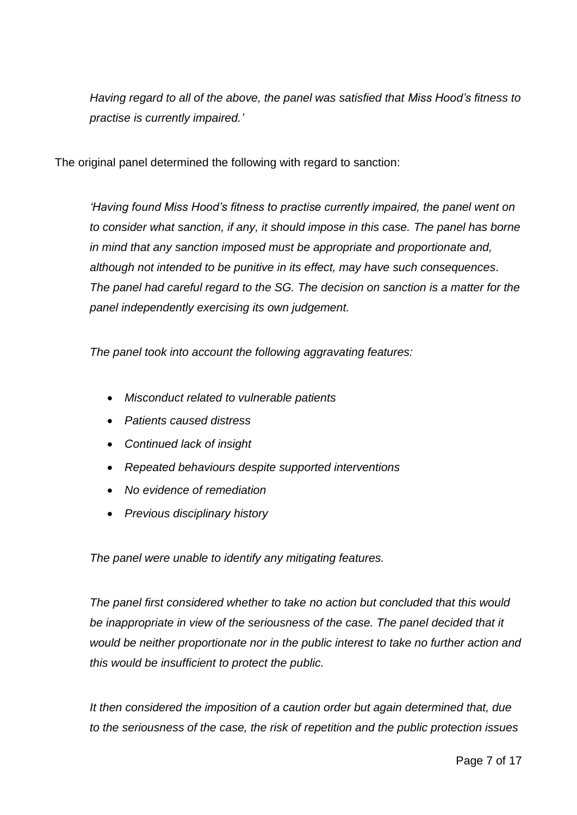*Having regard to all of the above, the panel was satisfied that Miss Hood's fitness to practise is currently impaired.'*

The original panel determined the following with regard to sanction:

*'Having found Miss Hood's fitness to practise currently impaired, the panel went on to consider what sanction, if any, it should impose in this case. The panel has borne in mind that any sanction imposed must be appropriate and proportionate and, although not intended to be punitive in its effect, may have such consequences. The panel had careful regard to the SG. The decision on sanction is a matter for the panel independently exercising its own judgement.*

*The panel took into account the following aggravating features:*

- *Misconduct related to vulnerable patients*
- *Patients caused distress*
- *Continued lack of insight*
- *Repeated behaviours despite supported interventions*
- *No evidence of remediation*
- *Previous disciplinary history*

*The panel were unable to identify any mitigating features.* 

*The panel first considered whether to take no action but concluded that this would*  be inappropriate in view of the seriousness of the case. The panel decided that it *would be neither proportionate nor in the public interest to take no further action and this would be insufficient to protect the public.* 

*It then considered the imposition of a caution order but again determined that, due to the seriousness of the case, the risk of repetition and the public protection issues*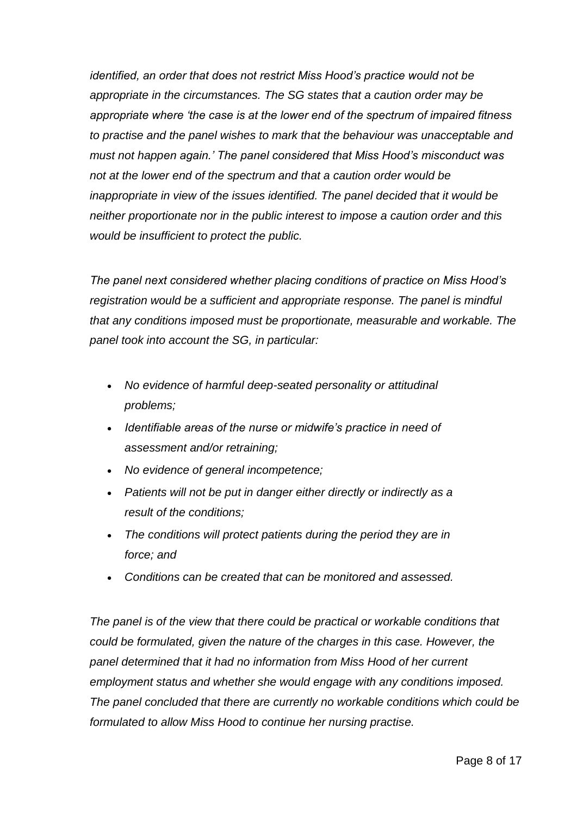*identified, an order that does not restrict Miss Hood's practice would not be appropriate in the circumstances. The SG states that a caution order may be appropriate where 'the case is at the lower end of the spectrum of impaired fitness to practise and the panel wishes to mark that the behaviour was unacceptable and must not happen again.' The panel considered that Miss Hood's misconduct was not at the lower end of the spectrum and that a caution order would be inappropriate in view of the issues identified. The panel decided that it would be neither proportionate nor in the public interest to impose a caution order and this would be insufficient to protect the public.*

*The panel next considered whether placing conditions of practice on Miss Hood's registration would be a sufficient and appropriate response. The panel is mindful that any conditions imposed must be proportionate, measurable and workable. The panel took into account the SG, in particular:*

- *No evidence of harmful deep-seated personality or attitudinal problems;*
- *Identifiable areas of the nurse or midwife's practice in need of assessment and/or retraining;*
- *No evidence of general incompetence;*
- *Patients will not be put in danger either directly or indirectly as a result of the conditions;*
- *The conditions will protect patients during the period they are in force; and*
- *Conditions can be created that can be monitored and assessed.*

*The panel is of the view that there could be practical or workable conditions that could be formulated, given the nature of the charges in this case. However, the panel determined that it had no information from Miss Hood of her current employment status and whether she would engage with any conditions imposed. The panel concluded that there are currently no workable conditions which could be formulated to allow Miss Hood to continue her nursing practise.*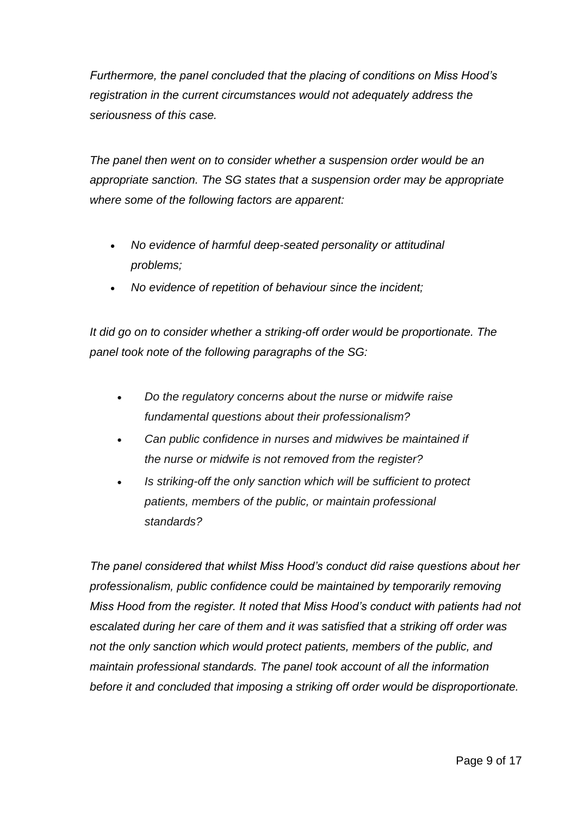*Furthermore, the panel concluded that the placing of conditions on Miss Hood's registration in the current circumstances would not adequately address the seriousness of this case.*

*The panel then went on to consider whether a suspension order would be an appropriate sanction. The SG states that a suspension order may be appropriate where some of the following factors are apparent:* 

- *No evidence of harmful deep-seated personality or attitudinal problems;*
- *No evidence of repetition of behaviour since the incident;*

*It did go on to consider whether a striking-off order would be proportionate. The panel took note of the following paragraphs of the SG:*

- *Do the regulatory concerns about the nurse or midwife raise fundamental questions about their professionalism?*
- *Can public confidence in nurses and midwives be maintained if the nurse or midwife is not removed from the register?*
- *Is striking-off the only sanction which will be sufficient to protect patients, members of the public, or maintain professional standards?*

*The panel considered that whilst Miss Hood's conduct did raise questions about her professionalism, public confidence could be maintained by temporarily removing Miss Hood from the register. It noted that Miss Hood's conduct with patients had not escalated during her care of them and it was satisfied that a striking off order was not the only sanction which would protect patients, members of the public, and maintain professional standards. The panel took account of all the information before it and concluded that imposing a striking off order would be disproportionate.*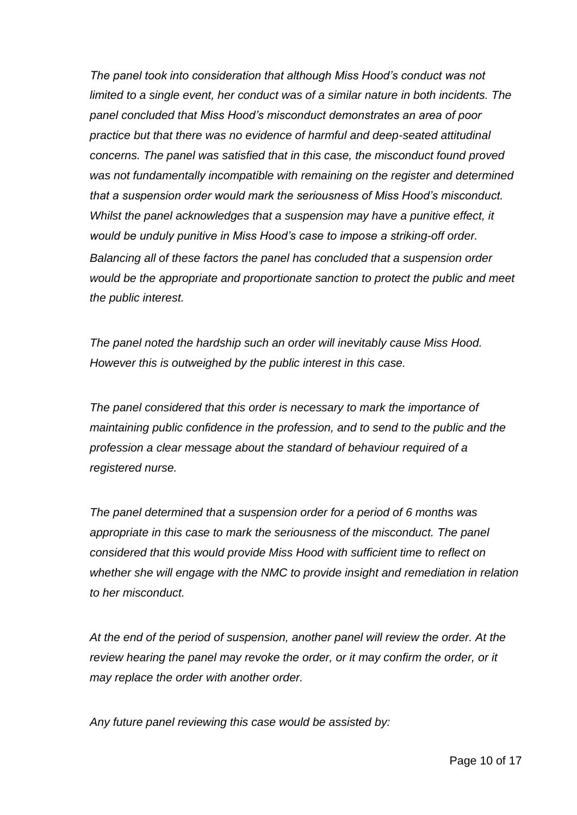*The panel took into consideration that although Miss Hood's conduct was not limited to a single event, her conduct was of a similar nature in both incidents. The panel concluded that Miss Hood's misconduct demonstrates an area of poor practice but that there was no evidence of harmful and deep-seated attitudinal concerns. The panel was satisfied that in this case, the misconduct found proved was not fundamentally incompatible with remaining on the register and determined that a suspension order would mark the seriousness of Miss Hood's misconduct. Whilst the panel acknowledges that a suspension may have a punitive effect, it would be unduly punitive in Miss Hood's case to impose a striking-off order. Balancing all of these factors the panel has concluded that a suspension order would be the appropriate and proportionate sanction to protect the public and meet the public interest.* 

*The panel noted the hardship such an order will inevitably cause Miss Hood. However this is outweighed by the public interest in this case.*

*The panel considered that this order is necessary to mark the importance of maintaining public confidence in the profession, and to send to the public and the profession a clear message about the standard of behaviour required of a registered nurse.*

*The panel determined that a suspension order for a period of 6 months was appropriate in this case to mark the seriousness of the misconduct. The panel considered that this would provide Miss Hood with sufficient time to reflect on*  whether she will engage with the NMC to provide insight and remediation in relation *to her misconduct.*

*At the end of the period of suspension, another panel will review the order. At the review hearing the panel may revoke the order, or it may confirm the order, or it may replace the order with another order.* 

*Any future panel reviewing this case would be assisted by:*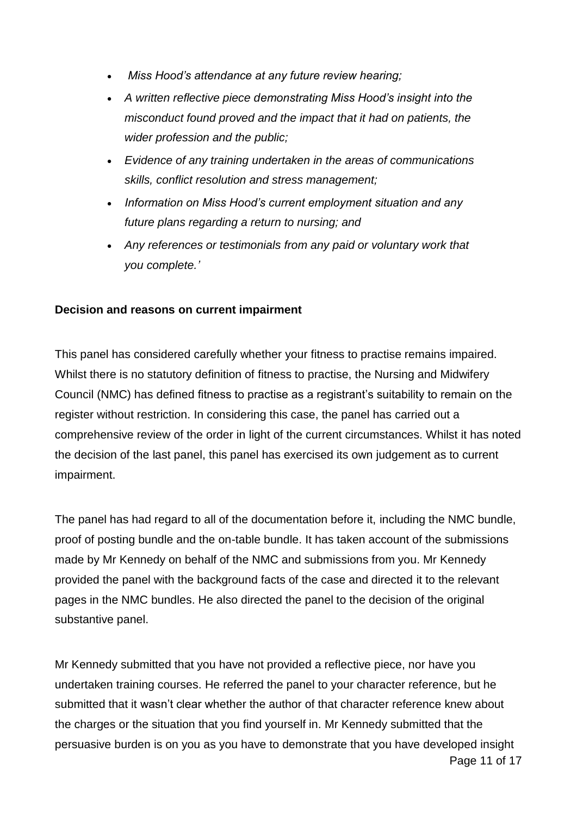- *Miss Hood's attendance at any future review hearing;*
- *A written reflective piece demonstrating Miss Hood's insight into the misconduct found proved and the impact that it had on patients, the wider profession and the public;*
- *Evidence of any training undertaken in the areas of communications skills, conflict resolution and stress management;*
- *Information on Miss Hood's current employment situation and any future plans regarding a return to nursing; and*
- *Any references or testimonials from any paid or voluntary work that you complete.'*

### **Decision and reasons on current impairment**

This panel has considered carefully whether your fitness to practise remains impaired. Whilst there is no statutory definition of fitness to practise, the Nursing and Midwifery Council (NMC) has defined fitness to practise as a registrant's suitability to remain on the register without restriction. In considering this case, the panel has carried out a comprehensive review of the order in light of the current circumstances. Whilst it has noted the decision of the last panel, this panel has exercised its own judgement as to current impairment.

The panel has had regard to all of the documentation before it, including the NMC bundle, proof of posting bundle and the on-table bundle. It has taken account of the submissions made by Mr Kennedy on behalf of the NMC and submissions from you. Mr Kennedy provided the panel with the background facts of the case and directed it to the relevant pages in the NMC bundles. He also directed the panel to the decision of the original substantive panel.

Page 11 of 17 Mr Kennedy submitted that you have not provided a reflective piece, nor have you undertaken training courses. He referred the panel to your character reference, but he submitted that it wasn't clear whether the author of that character reference knew about the charges or the situation that you find yourself in. Mr Kennedy submitted that the persuasive burden is on you as you have to demonstrate that you have developed insight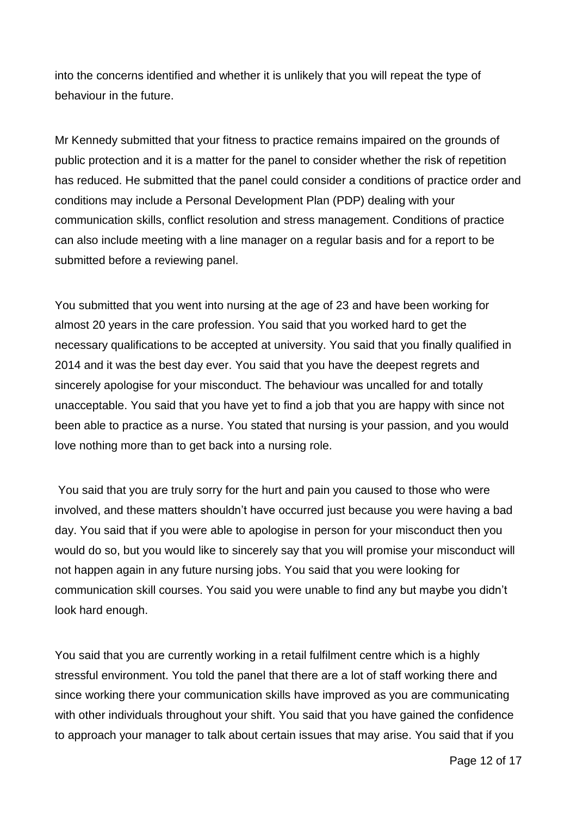into the concerns identified and whether it is unlikely that you will repeat the type of behaviour in the future.

Mr Kennedy submitted that your fitness to practice remains impaired on the grounds of public protection and it is a matter for the panel to consider whether the risk of repetition has reduced. He submitted that the panel could consider a conditions of practice order and conditions may include a Personal Development Plan (PDP) dealing with your communication skills, conflict resolution and stress management. Conditions of practice can also include meeting with a line manager on a regular basis and for a report to be submitted before a reviewing panel.

You submitted that you went into nursing at the age of 23 and have been working for almost 20 years in the care profession. You said that you worked hard to get the necessary qualifications to be accepted at university. You said that you finally qualified in 2014 and it was the best day ever. You said that you have the deepest regrets and sincerely apologise for your misconduct. The behaviour was uncalled for and totally unacceptable. You said that you have yet to find a job that you are happy with since not been able to practice as a nurse. You stated that nursing is your passion, and you would love nothing more than to get back into a nursing role.

You said that you are truly sorry for the hurt and pain you caused to those who were involved, and these matters shouldn't have occurred just because you were having a bad day. You said that if you were able to apologise in person for your misconduct then you would do so, but you would like to sincerely say that you will promise your misconduct will not happen again in any future nursing jobs. You said that you were looking for communication skill courses. You said you were unable to find any but maybe you didn't look hard enough.

You said that you are currently working in a retail fulfilment centre which is a highly stressful environment. You told the panel that there are a lot of staff working there and since working there your communication skills have improved as you are communicating with other individuals throughout your shift. You said that you have gained the confidence to approach your manager to talk about certain issues that may arise. You said that if you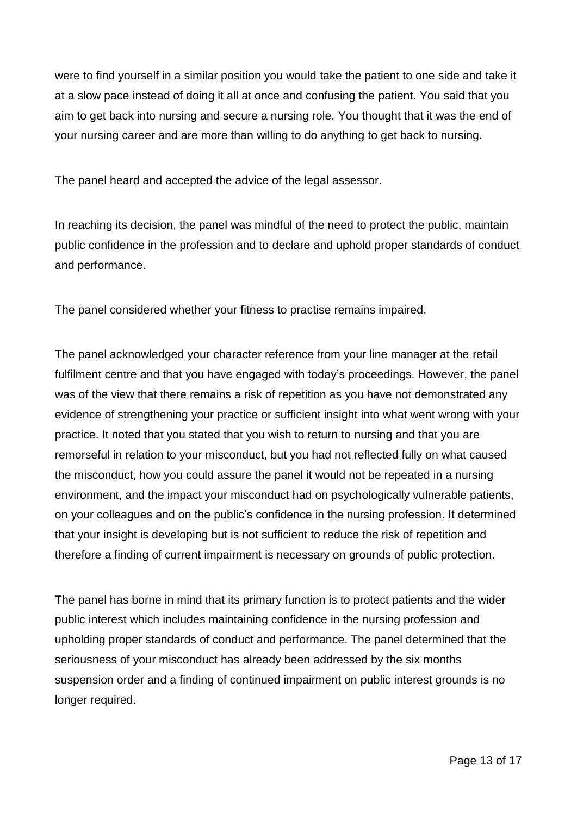were to find yourself in a similar position you would take the patient to one side and take it at a slow pace instead of doing it all at once and confusing the patient. You said that you aim to get back into nursing and secure a nursing role. You thought that it was the end of your nursing career and are more than willing to do anything to get back to nursing.

The panel heard and accepted the advice of the legal assessor.

In reaching its decision, the panel was mindful of the need to protect the public, maintain public confidence in the profession and to declare and uphold proper standards of conduct and performance.

The panel considered whether your fitness to practise remains impaired.

The panel acknowledged your character reference from your line manager at the retail fulfilment centre and that you have engaged with today's proceedings. However, the panel was of the view that there remains a risk of repetition as you have not demonstrated any evidence of strengthening your practice or sufficient insight into what went wrong with your practice. It noted that you stated that you wish to return to nursing and that you are remorseful in relation to your misconduct, but you had not reflected fully on what caused the misconduct, how you could assure the panel it would not be repeated in a nursing environment, and the impact your misconduct had on psychologically vulnerable patients, on your colleagues and on the public's confidence in the nursing profession. It determined that your insight is developing but is not sufficient to reduce the risk of repetition and therefore a finding of current impairment is necessary on grounds of public protection.

The panel has borne in mind that its primary function is to protect patients and the wider public interest which includes maintaining confidence in the nursing profession and upholding proper standards of conduct and performance. The panel determined that the seriousness of your misconduct has already been addressed by the six months suspension order and a finding of continued impairment on public interest grounds is no longer required.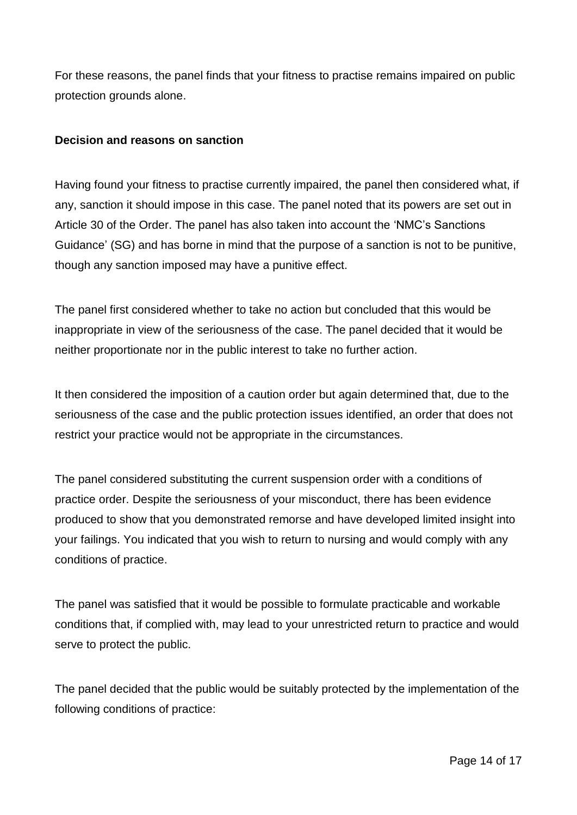For these reasons, the panel finds that your fitness to practise remains impaired on public protection grounds alone.

#### **Decision and reasons on sanction**

Having found your fitness to practise currently impaired, the panel then considered what, if any, sanction it should impose in this case. The panel noted that its powers are set out in Article 30 of the Order. The panel has also taken into account the 'NMC's Sanctions Guidance' (SG) and has borne in mind that the purpose of a sanction is not to be punitive, though any sanction imposed may have a punitive effect.

The panel first considered whether to take no action but concluded that this would be inappropriate in view of the seriousness of the case. The panel decided that it would be neither proportionate nor in the public interest to take no further action.

It then considered the imposition of a caution order but again determined that, due to the seriousness of the case and the public protection issues identified, an order that does not restrict your practice would not be appropriate in the circumstances.

The panel considered substituting the current suspension order with a conditions of practice order. Despite the seriousness of your misconduct, there has been evidence produced to show that you demonstrated remorse and have developed limited insight into your failings. You indicated that you wish to return to nursing and would comply with any conditions of practice.

The panel was satisfied that it would be possible to formulate practicable and workable conditions that, if complied with, may lead to your unrestricted return to practice and would serve to protect the public.

The panel decided that the public would be suitably protected by the implementation of the following conditions of practice: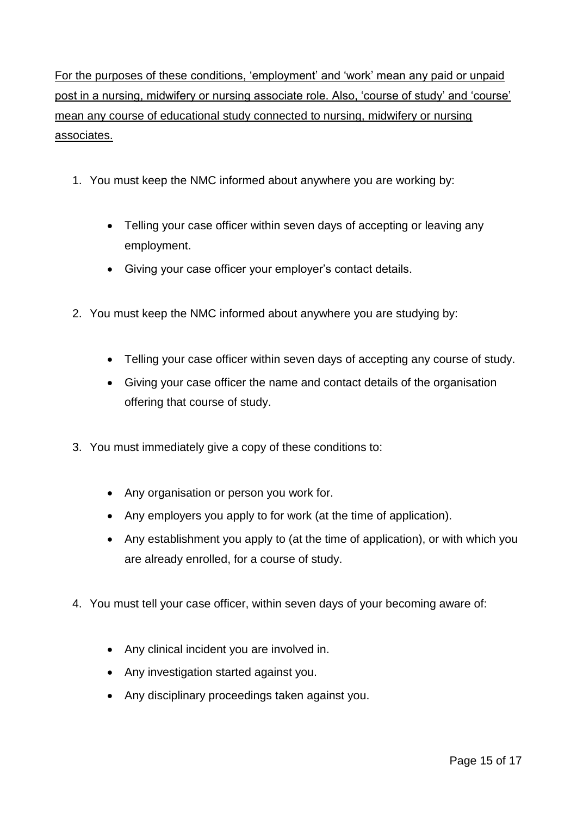For the purposes of these conditions, 'employment' and 'work' mean any paid or unpaid post in a nursing, midwifery or nursing associate role. Also, 'course of study' and 'course' mean any course of educational study connected to nursing, midwifery or nursing associates.

- 1. You must keep the NMC informed about anywhere you are working by:
	- Telling your case officer within seven days of accepting or leaving any employment.
	- Giving your case officer your employer's contact details.
- 2. You must keep the NMC informed about anywhere you are studying by:
	- Telling your case officer within seven days of accepting any course of study.
	- Giving your case officer the name and contact details of the organisation offering that course of study.
- 3. You must immediately give a copy of these conditions to:
	- Any organisation or person you work for.
	- Any employers you apply to for work (at the time of application).
	- Any establishment you apply to (at the time of application), or with which you are already enrolled, for a course of study.
- 4. You must tell your case officer, within seven days of your becoming aware of:
	- Any clinical incident you are involved in.
	- Any investigation started against you.
	- Any disciplinary proceedings taken against you.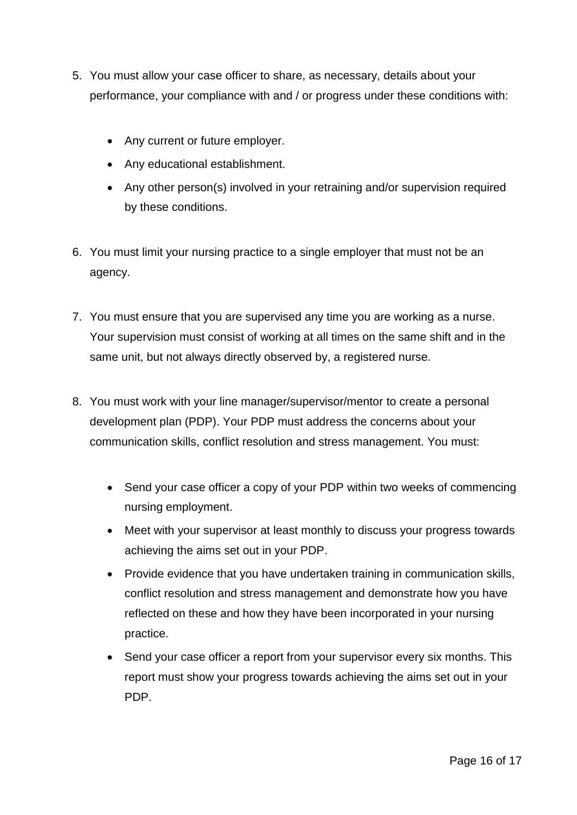- 5. You must allow your case officer to share, as necessary, details about your performance, your compliance with and / or progress under these conditions with:
	- Any current or future employer.
	- Any educational establishment.
	- Any other person(s) involved in your retraining and/or supervision required by these conditions.
- 6. You must limit your nursing practice to a single employer that must not be an agency.
- 7. You must ensure that you are supervised any time you are working as a nurse. Your supervision must consist of working at all times on the same shift and in the same unit, but not always directly observed by, a registered nurse.
- 8. You must work with your line manager/supervisor/mentor to create a personal development plan (PDP). Your PDP must address the concerns about your communication skills, conflict resolution and stress management. You must:
	- Send your case officer a copy of your PDP within two weeks of commencing nursing employment.
	- Meet with your supervisor at least monthly to discuss your progress towards achieving the aims set out in your PDP.
	- Provide evidence that you have undertaken training in communication skills, conflict resolution and stress management and demonstrate how you have reflected on these and how they have been incorporated in your nursing practice.
	- Send your case officer a report from your supervisor every six months. This report must show your progress towards achieving the aims set out in your PDP.